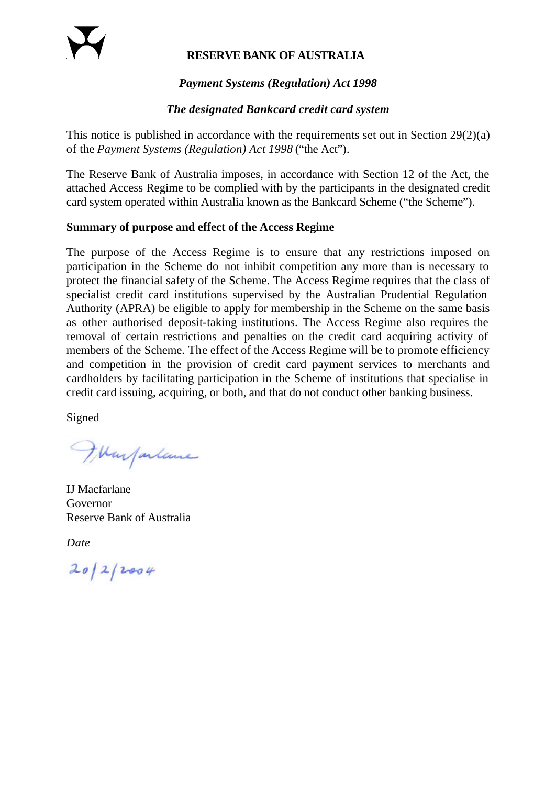### **RESERVE BANK OF AUSTRALIA**

### *Payment Systems (Regulation) Act 1998*

#### *The designated Bankcard credit card system*

This notice is published in accordance with the requirements set out in Section 29(2)(a) of the *Payment Systems (Regulation) Act 1998* ("the Act")*.*

The Reserve Bank of Australia imposes, in accordance with Section 12 of the Act, the attached Access Regime to be complied with by the participants in the designated credit card system operated within Australia known as the Bankcard Scheme ("the Scheme").

#### **Summary of purpose and effect of the Access Regime**

The purpose of the Access Regime is to ensure that any restrictions imposed on participation in the Scheme do not inhibit competition any more than is necessary to protect the financial safety of the Scheme. The Access Regime requires that the class of specialist credit card institutions supervised by the Australian Prudential Regulation Authority (APRA) be eligible to apply for membership in the Scheme on the same basis as other authorised deposit-taking institutions. The Access Regime also requires the removal of certain restrictions and penalties on the credit card acquiring activity of members of the Scheme. The effect of the Access Regime will be to promote efficiency and competition in the provision of credit card payment services to merchants and cardholders by facilitating participation in the Scheme of institutions that specialise in credit card issuing, acquiring, or both, and that do not conduct other banking business.

Signed

Warfarlance

IJ Macfarlane Governor Reserve Bank of Australia

*Date*

 $20/2/2004$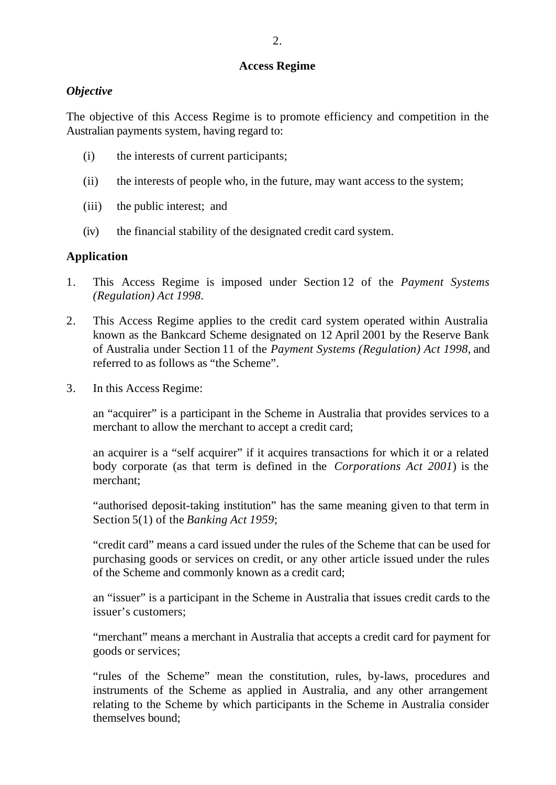#### **Access Regime**

### *Objective*

The objective of this Access Regime is to promote efficiency and competition in the Australian payments system, having regard to:

- (i) the interests of current participants;
- (ii) the interests of people who, in the future, may want access to the system;
- (iii) the public interest; and
- (iv) the financial stability of the designated credit card system.

### **Application**

- 1. This Access Regime is imposed under Section 12 of the *Payment Systems (Regulation) Act 1998*.
- 2. This Access Regime applies to the credit card system operated within Australia known as the Bankcard Scheme designated on 12 April 2001 by the Reserve Bank of Australia under Section 11 of the *Payment Systems (Regulation) Act 1998*, and referred to as follows as "the Scheme".
- 3. In this Access Regime:

an "acquirer" is a participant in the Scheme in Australia that provides services to a merchant to allow the merchant to accept a credit card;

an acquirer is a "self acquirer" if it acquires transactions for which it or a related body corporate (as that term is defined in the *Corporations Act 2001*) is the merchant;

"authorised deposit-taking institution" has the same meaning given to that term in Section 5(1) of the *Banking Act 1959*;

"credit card" means a card issued under the rules of the Scheme that can be used for purchasing goods or services on credit, or any other article issued under the rules of the Scheme and commonly known as a credit card;

an "issuer" is a participant in the Scheme in Australia that issues credit cards to the issuer's customers;

"merchant" means a merchant in Australia that accepts a credit card for payment for goods or services;

"rules of the Scheme" mean the constitution, rules, by-laws, procedures and instruments of the Scheme as applied in Australia, and any other arrangement relating to the Scheme by which participants in the Scheme in Australia consider themselves bound;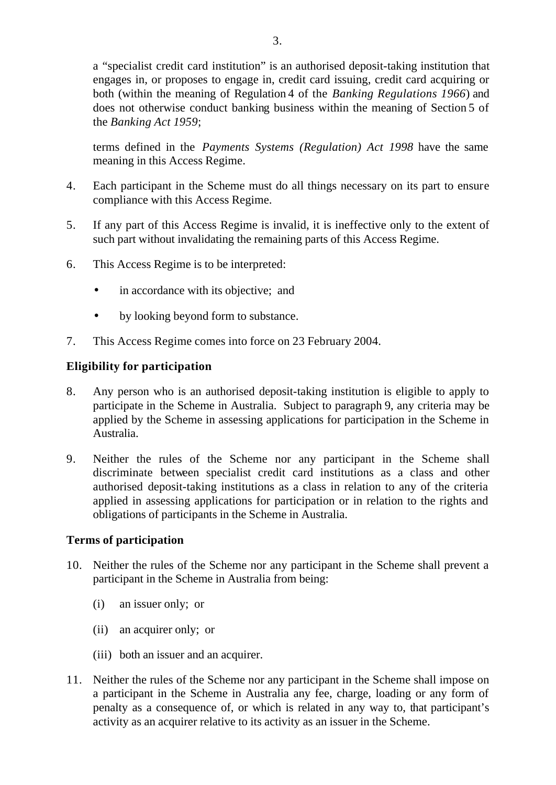a "specialist credit card institution" is an authorised deposit-taking institution that engages in, or proposes to engage in, credit card issuing, credit card acquiring or both (within the meaning of Regulation 4 of the *Banking Regulations 1966*) and does not otherwise conduct banking business within the meaning of Section 5 of the *Banking Act 1959*;

terms defined in the *Payments Systems (Regulation) Act 1998* have the same meaning in this Access Regime.

- 4. Each participant in the Scheme must do all things necessary on its part to ensure compliance with this Access Regime.
- 5. If any part of this Access Regime is invalid, it is ineffective only to the extent of such part without invalidating the remaining parts of this Access Regime.
- 6. This Access Regime is to be interpreted:
	- in accordance with its objective; and
	- by looking beyond form to substance.
- 7. This Access Regime comes into force on 23 February 2004.

# **Eligibility for participation**

- 8. Any person who is an authorised deposit-taking institution is eligible to apply to participate in the Scheme in Australia. Subject to paragraph 9, any criteria may be applied by the Scheme in assessing applications for participation in the Scheme in Australia.
- 9. Neither the rules of the Scheme nor any participant in the Scheme shall discriminate between specialist credit card institutions as a class and other authorised deposit-taking institutions as a class in relation to any of the criteria applied in assessing applications for participation or in relation to the rights and obligations of participants in the Scheme in Australia.

## **Terms of participation**

- 10. Neither the rules of the Scheme nor any participant in the Scheme shall prevent a participant in the Scheme in Australia from being:
	- (i) an issuer only; or
	- (ii) an acquirer only; or
	- (iii) both an issuer and an acquirer.
- 11. Neither the rules of the Scheme nor any participant in the Scheme shall impose on a participant in the Scheme in Australia any fee, charge, loading or any form of penalty as a consequence of, or which is related in any way to, that participant's activity as an acquirer relative to its activity as an issuer in the Scheme.